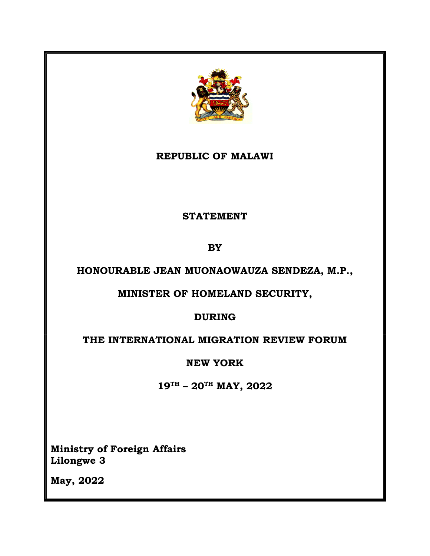

## **REPUBLIC OF MALAWI**

#### **STATEMENT**

**BY**

## **HONOURABLE JEAN MUONAOWAUZA SENDEZA, M.P.,**

## **MINISTER OF HOMELAND SECURITY,**

## **DURING**

## **THE INTERNATIONAL MIGRATION REVIEW FORUM**

## **NEW YORK**

**19TH – 20TH MAY, 2022**

**Ministry of Foreign Affairs Lilongwe 3**

**May, 2022**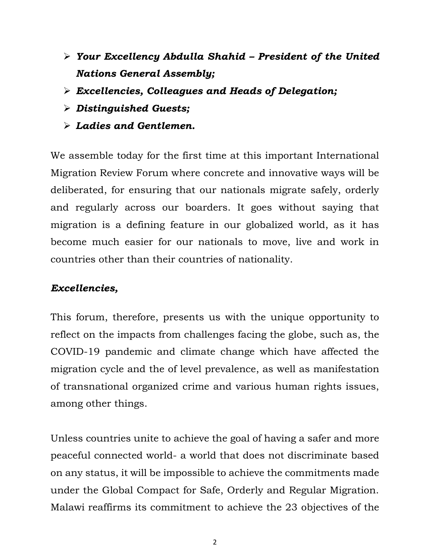- ➢ *Your Excellency Abdulla Shahid – President of the United Nations General Assembly;*
- ➢ *Excellencies, Colleagues and Heads of Delegation;*
- ➢ *Distinguished Guests;*
- ➢ *Ladies and Gentlemen.*

We assemble today for the first time at this important International Migration Review Forum where concrete and innovative ways will be deliberated, for ensuring that our nationals migrate safely, orderly and regularly across our boarders. It goes without saying that migration is a defining feature in our globalized world, as it has become much easier for our nationals to move, live and work in countries other than their countries of nationality.

#### *Excellencies,*

This forum, therefore, presents us with the unique opportunity to reflect on the impacts from challenges facing the globe, such as, the COVID-19 pandemic and climate change which have affected the migration cycle and the of level prevalence, as well as manifestation of transnational organized crime and various human rights issues, among other things.

Unless countries unite to achieve the goal of having a safer and more peaceful connected world- a world that does not discriminate based on any status, it will be impossible to achieve the commitments made under the Global Compact for Safe, Orderly and Regular Migration. Malawi reaffirms its commitment to achieve the 23 objectives of the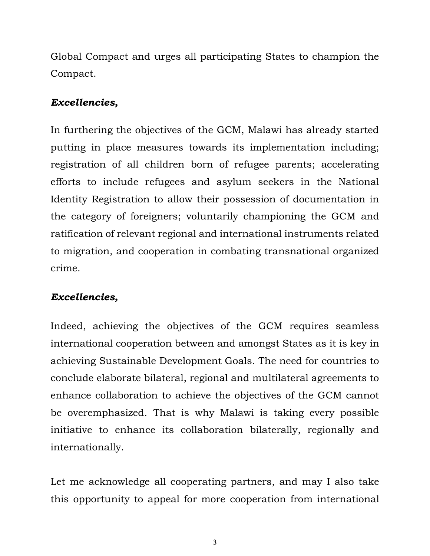Global Compact and urges all participating States to champion the Compact.

#### *Excellencies,*

In furthering the objectives of the GCM, Malawi has already started putting in place measures towards its implementation including; registration of all children born of refugee parents; accelerating efforts to include refugees and asylum seekers in the National Identity Registration to allow their possession of documentation in the category of foreigners; voluntarily championing the GCM and ratification of relevant regional and international instruments related to migration, and cooperation in combating transnational organized crime.

## *Excellencies,*

Indeed, achieving the objectives of the GCM requires seamless international cooperation between and amongst States as it is key in achieving Sustainable Development Goals. The need for countries to conclude elaborate bilateral, regional and multilateral agreements to enhance collaboration to achieve the objectives of the GCM cannot be overemphasized. That is why Malawi is taking every possible initiative to enhance its collaboration bilaterally, regionally and internationally.

Let me acknowledge all cooperating partners, and may I also take this opportunity to appeal for more cooperation from international